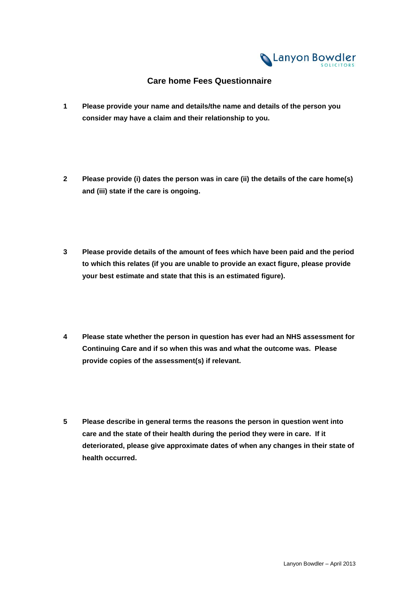

## **Care home Fees Questionnaire**

- **1 Please provide your name and details/the name and details of the person you consider may have a claim and their relationship to you.**
- **2 Please provide (i) dates the person was in care (ii) the details of the care home(s) and (iii) state if the care is ongoing.**
- **3 Please provide details of the amount of fees which have been paid and the period to which this relates (if you are unable to provide an exact figure, please provide your best estimate and state that this is an estimated figure).**
- **4 Please state whether the person in question has ever had an NHS assessment for Continuing Care and if so when this was and what the outcome was. Please provide copies of the assessment(s) if relevant.**
- **5 Please describe in general terms the reasons the person in question went into care and the state of their health during the period they were in care. If it deteriorated, please give approximate dates of when any changes in their state of health occurred.**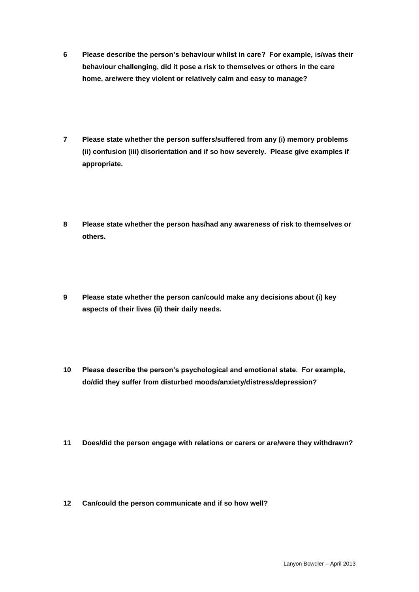- **6 Please describe the person's behaviour whilst in care? For example, is/was their behaviour challenging, did it pose a risk to themselves or others in the care home, are/were they violent or relatively calm and easy to manage?**
- **7 Please state whether the person suffers/suffered from any (i) memory problems (ii) confusion (iii) disorientation and if so how severely. Please give examples if appropriate.**
- **8 Please state whether the person has/had any awareness of risk to themselves or others.**
- **9 Please state whether the person can/could make any decisions about (i) key aspects of their lives (ii) their daily needs.**
- **10 Please describe the person's psychological and emotional state. For example, do/did they suffer from disturbed moods/anxiety/distress/depression?**
- **11 Does/did the person engage with relations or carers or are/were they withdrawn?**
- **12 Can/could the person communicate and if so how well?**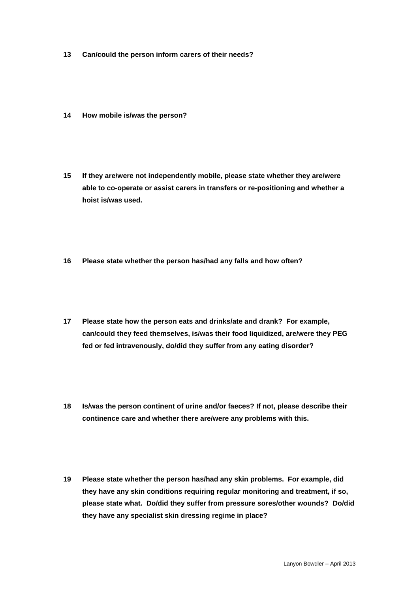- **13 Can/could the person inform carers of their needs?**
- **14 How mobile is/was the person?**
- **15 If they are/were not independently mobile, please state whether they are/were able to co-operate or assist carers in transfers or re-positioning and whether a hoist is/was used.**
- **16 Please state whether the person has/had any falls and how often?**
- **17 Please state how the person eats and drinks/ate and drank? For example, can/could they feed themselves, is/was their food liquidized, are/were they PEG fed or fed intravenously, do/did they suffer from any eating disorder?**
- **18 Is/was the person continent of urine and/or faeces? If not, please describe their continence care and whether there are/were any problems with this.**
- **19 Please state whether the person has/had any skin problems. For example, did they have any skin conditions requiring regular monitoring and treatment, if so, please state what. Do/did they suffer from pressure sores/other wounds? Do/did they have any specialist skin dressing regime in place?**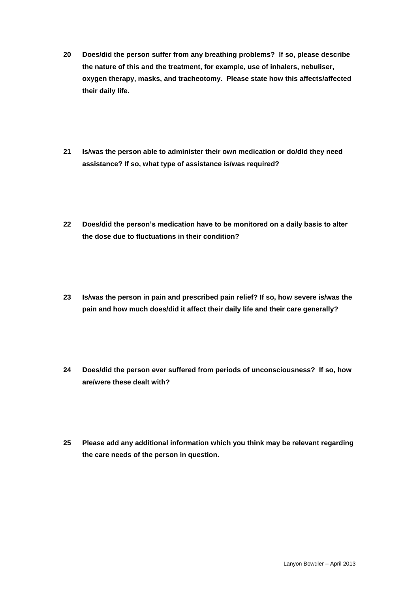- **20 Does/did the person suffer from any breathing problems? If so, please describe the nature of this and the treatment, for example, use of inhalers, nebuliser, oxygen therapy, masks, and tracheotomy. Please state how this affects/affected their daily life.**
- **21 Is/was the person able to administer their own medication or do/did they need assistance? If so, what type of assistance is/was required?**
- **22 Does/did the person's medication have to be monitored on a daily basis to alter the dose due to fluctuations in their condition?**
- **23 Is/was the person in pain and prescribed pain relief? If so, how severe is/was the pain and how much does/did it affect their daily life and their care generally?**
- **24 Does/did the person ever suffered from periods of unconsciousness? If so, how are/were these dealt with?**
- **25 Please add any additional information which you think may be relevant regarding the care needs of the person in question.**